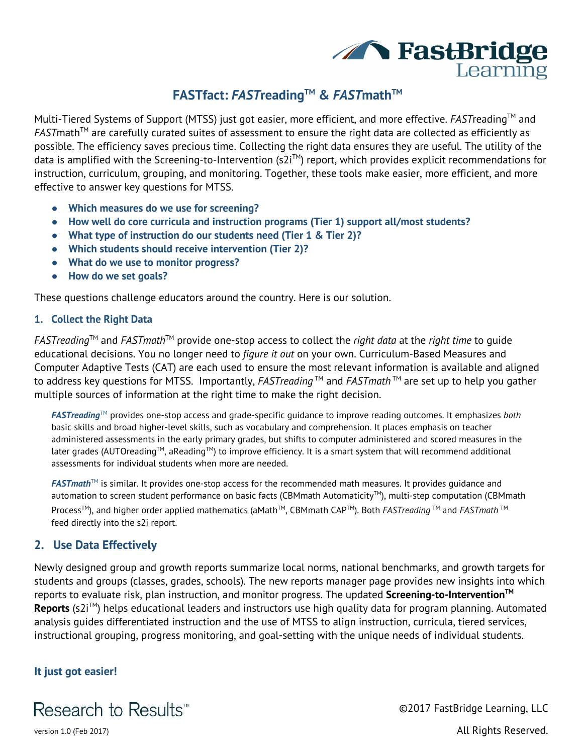

# **FASTfact:** *F AST***reading TM &** *F AST***math TM**

Multi-Tiered Systems of Support (MTSS) just got easier, more efficient, and more effective. *FAST*reading TM and *FAST* math<sup>™</sup> are carefully curated suites of assessment to ensure the right data are collected as efficiently as possible. The efficiency saves precious time. Collecting the right data ensures they are useful. The utility of the data is amplified with the Screening-to-Intervention (s2i™) report, which provides explicit recommendations for instruction, curriculum, grouping, and monitoring. Together, these tools make easier, more efficient, and more effective to answer key questions for MTSS.

- **● Which measures do we use for screening?**
- **● How well do core curricula and instruction programs (Tier 1) support all/most students?**
- **● What type of instruction do our students need (Tier 1 & Tier 2)?**
- **● Which students should receive intervention (Tier 2)?**
- **● What do we use to monitor progress?**
- **● How do we set goals?**

These questions challenge educators around the country. Here is our solution.

#### **1. Collect the Right Data**

*FASTreading*TM and *FASTmath*TM provide one-stop access to collect the *right data* at the *right time* to guide educational decisions. You no longer need to *figure it out* on your own. Curriculum-Based Measures and Computer Adaptive Tests (CAT) are each used to ensure the most relevant information is available and aligned to address key questions for MTSS. Importantly, *FASTreading*™ and *FASTmath™* are set up to help you gather multiple sources of information at the right time to make the right decision.

 *FASTreading*TM provides one-stop access and grade-specific guidance to improve reading outcomes. It emphasizes *both* basic skills and broad higher-level skills, such as vocabulary and comprehension. It places emphasis on teacher administered assessments in the early primary grades, but shifts to computer administered and scored measures in the later grades (AUTOreading $^{\text{\tiny{\textsf{TM}}}}$  aReading $^{\text{\tiny{\textsf{TM}}}}$  to improve efficiency. It is a smart system that will recommend additional assessments for individual students when more are needed.

*FASTmath*™ is similar. It provides one-stop access for the recommended math measures. It provides guidance and automation to screen student performance on basic facts (CBMmath Automaticity™), multi-step computation (CBMmath Process™), and higher order applied mathematics (aMath™, CBMmath CAP™). Both *FASTreading* ™ and *FASTmath* ™ feed directly into the s2i report.

## **2. Use Data Effectively**

Newly designed group and growth reports summarize local norms, national benchmarks, and growth targets for students and groups (classes, grades, schools). The new reports manager page provides new insights into which reports to evaluate risk, plan instruction, and monitor progress. The updated **Screening-to-Intervention TM Reports** (s2i™) helps educational leaders and instructors use high quality data for program planning. Automated analysis guides differentiated instruction and the use of MTSS to align instruction, curricula, tiered services, instructional grouping, progress monitoring, and goal-setting with the unique needs of individual students.

### **It just got easier!**



©2017 FastBridge Learning, LLC version 1.0 (Feb 2017) and the set of the set of the set of the set of the set of the set of the set of the set of the set of the set of the set of the set of the set of the set of the set of the set of the set of the set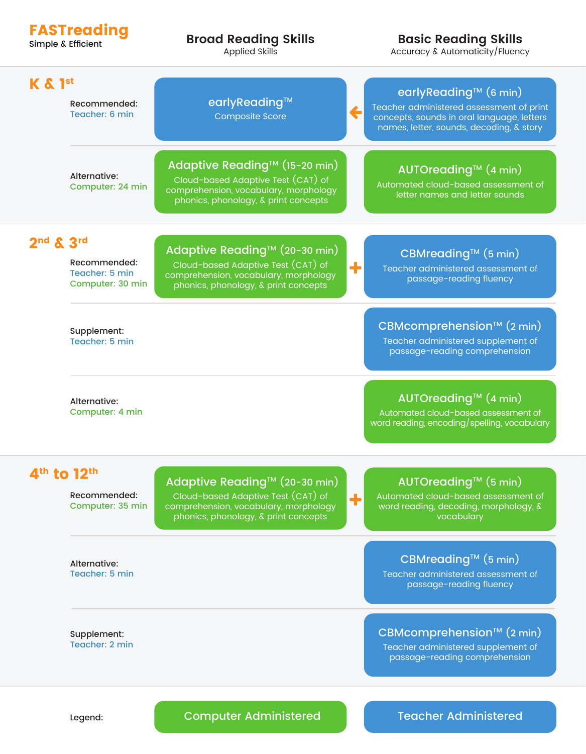| Simple & Efficient        | <b>FASTreading</b>                                 | <b>Broad Reading Skills</b><br><b>Applied Skills</b>                                                                                                 |   | <b>Basic Reading Skills</b><br>Accuracy & Automaticity/Fluency                                                                                                          |
|---------------------------|----------------------------------------------------|------------------------------------------------------------------------------------------------------------------------------------------------------|---|-------------------------------------------------------------------------------------------------------------------------------------------------------------------------|
| $K$ & $1st$               | Recommended:<br>Teacher: 6 min                     | earlyReading™<br><b>Composite Score</b>                                                                                                              | ← | earlyReading <sup>™</sup> (6 min)<br>Teacher administered assessment of print<br>concepts, sounds in oral language, letters<br>names, letter, sounds, decoding, & story |
|                           | Alternative:<br>Computer: 24 min                   | Adaptive Reading™ (15-20 min)<br>Cloud-based Adaptive Test (CAT) of<br>comprehension, vocabulary, morphology<br>phonics, phonology, & print concepts |   | <b>AUTOreading<sup>™</sup> (4 min)</b><br>Automated cloud-based assessment of<br>letter names and letter sounds                                                         |
| $2nd$ & $3rd$             | Recommended:<br>Teacher: 5 min<br>Computer: 30 min | Adaptive Reading™ (20-30 min)<br>Cloud-based Adaptive Test (CAT) of<br>comprehension, vocabulary, morphology<br>phonics, phonology, & print concepts | ╋ | CBMreading <sup>™</sup> (5 min)<br>Teacher administered assessment of<br>passage-reading fluency                                                                        |
|                           | Supplement:<br>Teacher: 5 min                      |                                                                                                                                                      |   | CBMcomprehension™ (2 min)<br>Teacher administered supplement of<br>passage-reading comprehension                                                                        |
|                           | Alternative:<br>Computer: 4 min                    |                                                                                                                                                      |   | AUTOreading™ (4 min)<br>Automated cloud-based assessment of<br>word reading, encoding/spelling, vocabulary                                                              |
| $4th$ to 12 <sup>th</sup> | Recommended:<br>Computer: 35 min                   | Adaptive Reading™ (20-30 min)<br>Cloud-based Adaptive Test (CAT) of<br>comprehension, vocabulary, morphology<br>phonics, phonology, & print concepts | ╋ | AUTOreading™ (5 min)<br>Automated cloud-based assessment of<br>word reading, decoding, morphology, &<br>vocabulary                                                      |
|                           | Alternative:<br>Teacher: 5 min                     |                                                                                                                                                      |   | CBMreading <sup>™</sup> (5 min)<br>Teacher administered assessment of<br>passage-reading fluency                                                                        |
|                           | Supplement:<br>Teacher: 2 min                      |                                                                                                                                                      |   | CBMcomprehension™ (2 min)<br>Teacher administered supplement of<br>passage-reading comprehension                                                                        |

# Computer Administered Teacher Administered

Legend: